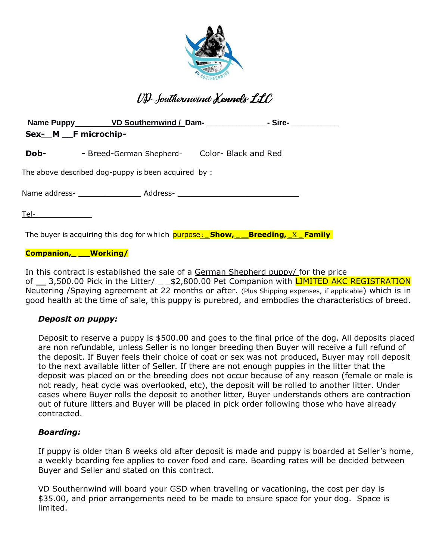

# VD fouthernwind Kennels LLC

| Sex-_M __F microchip-                               |                                                                                                            |  |  |  |
|-----------------------------------------------------|------------------------------------------------------------------------------------------------------------|--|--|--|
| Dob-                                                | - Breed-German Shepherd- Color- Black and Red                                                              |  |  |  |
| The above described dog-puppy is been acquired by : |                                                                                                            |  |  |  |
|                                                     | Name address- __________________________ Address- ______________________________                           |  |  |  |
| T <u>el-________________</u>                        |                                                                                                            |  |  |  |
|                                                     | The buyer is acquiring this dog for which $\frac{\text{purpose}}{\text{Suppose}}$ Show, Reneding, X Family |  |  |  |

## **Companion,\_ \_\_ Working/**

In this contract is established the sale of a German Shepherd puppy/ for the price of \_\_ 3,500.00 Pick in the Litter/ \_ \_ \$2,800.00 Pet Companion with LIMITED AKC REGISTRATION Neutering /Spaying agreement at 22 months or after. (Plus Shipping expenses, if applicable) which is in good health at the time of sale, this puppy is purebred, and embodies the characteristics of breed.

# *Deposit on puppy:*

Deposit to reserve a puppy is \$500.00 and goes to the final price of the dog. All deposits placed are non refundable, unless Seller is no longer breeding then Buyer will receive a full refund of the deposit. If Buyer feels their choice of coat or sex was not produced, Buyer may roll deposit to the next available litter of Seller. If there are not enough puppies in the litter that the deposit was placed on or the breeding does not occur because of any reason (female or male is not ready, heat cycle was overlooked, etc), the deposit will be rolled to another litter. Under cases where Buyer rolls the deposit to another litter, Buyer understands others are contraction out of future litters and Buyer will be placed in pick order following those who have already contracted.

# *Boarding:*

If puppy is older than 8 weeks old after deposit is made and puppy is boarded at Seller's home, a weekly boarding fee applies to cover food and care. Boarding rates will be decided between Buyer and Seller and stated on this contract.

VD Southernwind will board your GSD when traveling or vacationing, the cost per day is \$35.00, and prior arrangements need to be made to ensure space for your dog. Space is limited.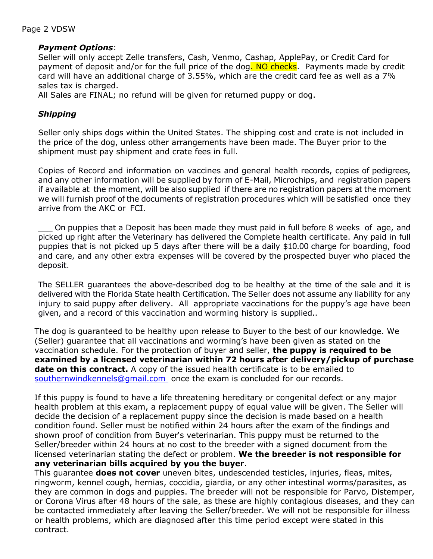#### Page 2 VDSW

#### *Payment Options*:

Seller will only accept Zelle transfers, Cash, Venmo, Cashap, ApplePay, or Credit Card for payment of deposit and/or for the full price of the dog. NO checks. Payments made by credit card will have an additional charge of 3.55%, which are the credit card fee as well as a 7% sales tax is charged.

All Sales are FINAL; no refund will be given for returned puppy or dog.

## *Shipping*

Seller only ships dogs within the United States. The shipping cost and crate is not included in the price of the dog, unless other arrangements have been made. The Buyer prior to the shipment must pay shipment and crate fees in full.

Copies of Record and information on vaccines and general health records, copies of pedigrees, and any other information will be supplied by form of E-Mail, Microchips, and registration papers if available at the moment, will be also supplied if there are no registration papers at the moment we will furnish proof of the documents of registration procedures which will be satisfied once they arrive from the AKC or FCI.

On puppies that a Deposit has been made they must paid in full before 8 weeks of age, and picked up right after the Veterinary has delivered the Complete health certificate. Any paid in full puppies that is not picked up 5 days after there will be a daily \$10.00 charge for boarding, food and care, and any other extra expenses will be covered by the prospected buyer who placed the deposit.

The SELLER guarantees the above-described dog to be healthy at the time of the sale and it is delivered with the Florida State health Certification. The Seller does not assume any liability for any injury to said puppy after delivery. All appropriate vaccinations for the puppy's age have been given, and a record of this vaccination and worming history is supplied..

The dog is guaranteed to be healthy upon release to Buyer to the best of our knowledge. We (Seller) guarantee that all vaccinations and worming's have been given as stated on the vaccination schedule. For the protection of buyer and seller, **the puppy is required to be examined by a licensed veterinarian within 72 hours after delivery/pickup of purchase date on this contract.** A copy of the issued health certificate is to be emailed to [southernwindkennels@gmail.com](mailto:southernwindkennels@gmail.com) once the exam is concluded for our records.

If this puppy is found to have a life threatening hereditary or congenital defect or any major health problem at this exam, a replacement puppy of equal value will be given. The Seller will decide the decision of a replacement puppy since the decision is made based on a health condition found. Seller must be notified within 24 hours after the exam of the findings and shown proof of condition from Buyer's veterinarian. This puppy must be returned to the Seller/breeder within 24 hours at no cost to the breeder with a signed document from the licensed veterinarian stating the defect or problem. **We the breeder is not responsible for any veterinarian bills acquired by you the buyer**.

This guarantee **does not cover** uneven bites, undescended testicles, injuries, fleas, mites, ringworm, kennel cough, hernias, coccidia, giardia, or any other intestinal worms/parasites, as they are common in dogs and puppies. The breeder will not be responsible for Parvo, Distemper, or Corona Virus after 48 hours of the sale, as these are highly contagious diseases, and they can be contacted immediately after leaving the Seller/breeder. We will not be responsible for illness or health problems, which are diagnosed after this time period except were stated in this contract.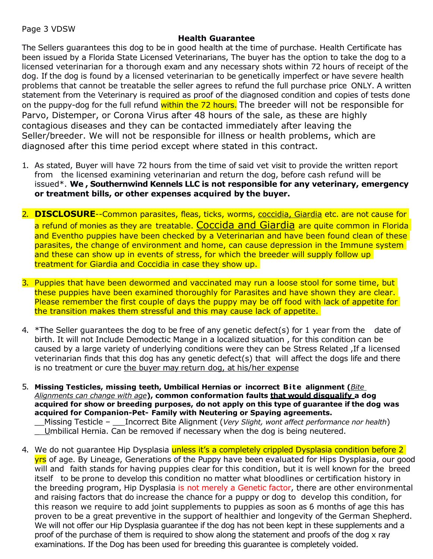## **Health Guarantee**

The Sellers guarantees this dog to be in good health at the time of purchase. Health Certificate has been issued by a Florida State Licensed Veterinarians, The buyer has the option to take the dog to a licensed veterinarian for a thorough exam and any necessary shots within 72 hours of receipt of the dog. If the dog is found by a licensed veterinarian to be genetically imperfect or have severe health problems that cannot be treatable the seller agrees to refund the full purchase price ONLY. A written statement from the Veterinary is required as proof of the diagnosed condition and copies of tests done on the puppy-dog for the full refund within the 72 hours. The breeder will not be responsible for Parvo, Distemper, or Corona Virus after 48 hours of the sale, as these are highly contagious diseases and they can be contacted immediately after leaving the Seller/breeder. We will not be responsible for illness or health problems, which are diagnosed after this time period except where stated in this contract.

- 1. As stated, Buyer will have 72 hours from the time of said vet visit to provide the written report from the licensed examining veterinarian and return the dog, before cash refund will be issued\*. **We , Southernwind Kennels LLC is not responsible for any veterinary, emergency or treatment bills, or other expenses acquired by the buyer.**
- 2. **DISCLOSURE**--Common parasites, fleas, ticks, worms, coccidia, Giardia etc. are not cause for a refund of monies as they are treatable. Coccida and Giardia are quite common in Florida and Eventho puppies have been checked by a Veterinarian and have been found clean of these parasites, the change of environment and home, can cause depression in the Immune system and these can show up in events of stress, for which the breeder will supply follow up treatment for Giardia and Coccidia in case they show up.
- 3. Puppies that have been dewormed and vaccinated may run a loose stool for some time, but these puppies have been examined thoroughly for Parasites and have shown they are clear. Please remember the first couple of days the puppy may be off food with lack of appetite for the transition makes them stressful and this may cause lack of appetite.
- 4.  $*$ The Seller guarantees the dog to be free of any genetic defect(s) for 1 year from the date of birth. It will not Include Demodectic Mange in a localized situation , for this condition can be caused by a large variety of underlying conditions were they can be Stress Related ,If a licensed veterinarian finds that this dog has any genetic defect(s) that will affect the dogs life and there is no treatment or cure the buyer may return dog, at his/her expense
- 5. **Missing Testicles, missing teeth, Umbilical Hernias or incorrect B i t e alignment (***Bite Alignments can change with age***), common conformation faults that would disqualify a dog acquired for show or breeding purposes, do not apply on this type of guarantee if the dog was acquired for Companion-Pet- Family with Neutering or Spaying agreements.** \_\_Missing Testicle – \_\_ Incorrect Bite Alignment (*Very Slight, wont affect performance nor health*)

\_ Umbilical Hernia. Can be removed if necessary when the dog is being neutered.

4. We do not guarantee Hip Dysplasia unless it's a completely crippled Dysplasia condition before 2 **yrs** of age. By Lineage, Generations of the Puppy have been evaluated for Hips Dysplasia, our good will and faith stands for having puppies clear for this condition, but it is well known for the breed itself to be prone to develop this condition no matter what bloodlines or certification history in the breeding program, Hip Dysplasia is not merely a Genetic factor, there are other environmental and raising factors that do increase the chance for a puppy or dog to develop this condition, for this reason we require to add joint supplements to puppies as soon as 6 months of age this has proven to be a great preventive in the support of healthier and longevity of the German Shepherd. We will not offer our Hip Dysplasia guarantee if the dog has not been kept in these supplements and a proof of the purchase of them is required to show along the statement and proofs of the dog x ray examinations. If the Dog has been used for breeding this guarantee is completely voided.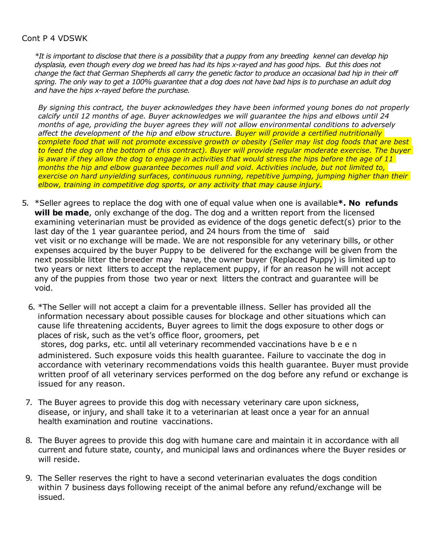#### Cont P 4 VDSWK

*\*It is important to disclose that there is a possibility that a puppy from any breeding kennel can develop hip dysplasia, even though every dog we breed has had its hips x-rayed and has good hips. But this does not change the fact that German Shepherds all carry the genetic factor to produce an occasional bad hip in their off spring. The only way to get a 100% guarantee that a dog does not have bad hips is to purchase an adult dog and have the hips x-rayed before the purchase.*

*By signing this contract, the buyer acknowledges they have been informed young bones do not properly calcify until 12 months of age. Buyer acknowledges we will guarantee the hips and elbows until 24 months of age, providing the buyer agrees they will not allow environmental conditions to adversely affect the development of the hip and elbow structure. Buyer will provide a certified nutritionally complete food that will not promote excessive growth or obesity (Seller may list dog foods that are best to feed the dog on the bottom of this contract). Buyer will provide regular moderate exercise. The buyer is aware if they allow the dog to engage in activities that would stress the hips before the age of 11 months the hip and elbow guarantee becomes null and void. Activities include, but not limited to, exercise on hard unyielding surfaces, continuous running, repetitive jumping, jumping higher than their elbow, training in competitive dog sports, or any activity that may cause injury.*

- 5. \*Seller agrees to replace the dog with one of equal value when one is available**\*. No refunds will be made**, only exchange of the dog. The dog and a written report from the licensed examining veterinarian must be provided as evidence of the dogs genetic defect(s) prior to the last day of the 1 year guarantee period, and 24 hours from the time of said vet visit or no exchange will be made. We are not responsible for any veterinary bills, or other expenses acquired by the buyer Puppy to be delivered for the exchange will be given from the next possible litter the breeder may have, the owner buyer (Replaced Puppy) is limited up to two years or next litters to accept the replacement puppy, if for an reason he will not accept any of the puppies from those two year or next litters the contract and guarantee will be void.
	- 6. \*The Seller will not accept a claim for a preventable illness. Seller has provided all the information necessary about possible causes for blockage and other situations which can cause life threatening accidents, Buyer agrees to limit the dogs exposure to other dogs or places of risk, such as the vet's office floor, groomers, pet stores, dog parks, etc. until all veterinary recommended vaccinations have b e e n administered. Such exposure voids this health guarantee. Failure to vaccinate the dog in accordance with veterinary recommendations voids this health guarantee. Buyer must provide written proof of all veterinary services performed on the dog before any refund or exchange is issued for any reason.
- 7. The Buyer agrees to provide this dog with necessary veterinary care upon sickness, disease, or injury, and shall take it to a veterinarian at least once a year for an annual health examination and routine vaccinations.
- 8. The Buyer agrees to provide this dog with humane care and maintain it in accordance with all current and future state, county, and municipal laws and ordinances where the Buyer resides or will reside.
- 9. The Seller reserves the right to have a second veterinarian evaluates the dogs condition within 7 business days following receipt of the animal before any refund/exchange will be issued.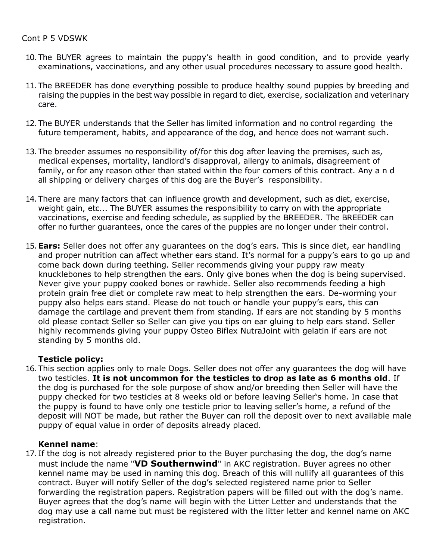#### Cont P 5 VDSWK

- 10. The BUYER agrees to maintain the puppy's health in good condition, and to provide yearly examinations, vaccinations, and any other usual procedures necessary to assure good health.
- 11. The BREEDER has done everything possible to produce healthy sound puppies by breeding and raising the puppies in the best way possible in regard to diet, exercise, socialization and veterinary care.
- 12. The BUYER understands that the Seller has limited information and no control regarding the future temperament, habits, and appearance of the dog, and hence does not warrant such.
- 13. The breeder assumes no responsibility of/for this dog after leaving the premises, such as, medical expenses, mortality, landlord's disapproval, allergy to animals, disagreement of family, or for any reason other than stated within the four corners of this contract. Any a n d all shipping or delivery charges of this dog are the Buyer's responsibility.
- 14. There are many factors that can influence growth and development, such as diet, exercise, weight gain, etc... The BUYER assumes the responsibility to carry on with the appropriate vaccinations, exercise and feeding schedule, as supplied by the BREEDER. The BREEDER can offer no further guarantees, once the cares of the puppies are no longer under their control.
- 15. **Ears:** Seller does not offer any guarantees on the dog's ears. This is since diet, ear handling and proper nutrition can affect whether ears stand. It's normal for a puppy's ears to go up and come back down during teething. Seller recommends giving your puppy raw meaty knucklebones to help strengthen the ears. Only give bones when the dog is being supervised. Never give your puppy cooked bones or rawhide. Seller also recommends feeding a high protein grain free diet or complete raw meat to help strengthen the ears. De-worming your puppy also helps ears stand. Please do not touch or handle your puppy's ears, this can damage the cartilage and prevent them from standing. If ears are not standing by 5 months old please contact Seller so Seller can give you tips on ear gluing to help ears stand. Seller highly recommends giving your puppy Osteo Biflex NutraJoint with gelatin if ears are not standing by 5 months old.

# **Testicle policy:**

16. This section applies only to male Dogs. Seller does not offer any guarantees the dog will have two testicles. **It is not uncommon for the testicles to drop as late as 6 months old**. If the dog is purchased for the sole purpose of show and/or breeding then Seller will have the puppy checked for two testicles at 8 weeks old or before leaving Seller's home. In case that the puppy is found to have only one testicle prior to leaving seller's home, a refund of the deposit will NOT be made, but rather the Buyer can roll the deposit over to next available male puppy of equal value in order of deposits already placed.

# **Kennel name**:

17. If the dog is not already registered prior to the Buyer purchasing the dog, the dog's name must include the name "**VD Southernwind**" in AKC registration. Buyer agrees no other kennel name may be used in naming this dog. Breach of this will nullify all guarantees of this contract. Buyer will notify Seller of the dog's selected registered name prior to Seller forwarding the registration papers. Registration papers will be filled out with the dog's name. Buyer agrees that the dog's name will begin with the Litter Letter and understands that the dog may use a call name but must be registered with the litter letter and kennel name on AKC registration.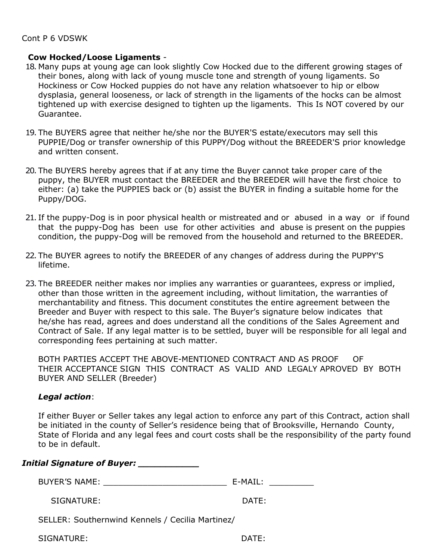#### **Cow Hocked/Loose Ligaments** -

- 18. Many pups at young age can look slightly Cow Hocked due to the different growing stages of their bones, along with lack of young muscle tone and strength of young ligaments. So Hockiness or Cow Hocked puppies do not have any relation whatsoever to hip or elbow dysplasia, general looseness, or lack of strength in the ligaments of the hocks can be almost tightened up with exercise designed to tighten up the ligaments. This Is NOT covered by our Guarantee.
- 19. The BUYERS agree that neither he/she nor the BUYER'S estate/executors may sell this PUPPIE/Dog or transfer ownership of this PUPPY/Dog without the BREEDER'S prior knowledge and written consent.
- 20. The BUYERS hereby agrees that if at any time the Buyer cannot take proper care of the puppy, the BUYER must contact the BREEDER and the BREEDER will have the first choice to either: (a) take the PUPPIES back or (b) assist the BUYER in finding a suitable home for the Puppy/DOG.
- 21. If the puppy-Dog is in poor physical health or mistreated and or abused in a way or if found that the puppy-Dog has been use for other activities and abuse is present on the puppies condition, the puppy-Dog will be removed from the household and returned to the BREEDER.
- 22. The BUYER agrees to notify the BREEDER of any changes of address during the PUPPY'S lifetime.
- 23. The BREEDER neither makes nor implies any warranties or guarantees, express or implied, other than those written in the agreement including, without limitation, the warranties of merchantability and fitness. This document constitutes the entire agreement between the Breeder and Buyer with respect to this sale. The Buyer's signature below indicates that he/she has read, agrees and does understand all the conditions of the Sales Agreement and Contract of Sale. If any legal matter is to be settled, buyer will be responsible for all legal and corresponding fees pertaining at such matter.

BOTH PARTIES ACCEPT THE ABOVE-MENTIONED CONTRACT AND AS PROOF OF THEIR ACCEPTANCE SIGN THIS CONTRACT AS VALID AND LEGALY APROVED BY BOTH BUYER AND SELLER (Breeder)

# *Legal action*:

If either Buyer or Seller takes any legal action to enforce any part of this Contract, action shall be initiated in the county of Seller's residence being that of Brooksville, Hernando County, State of Florida and any legal fees and court costs shall be the responsibility of the party found to be in default.

| <b>Initial Signature of Buyer: ______________</b> |                                                                                                                |  |  |  |
|---------------------------------------------------|----------------------------------------------------------------------------------------------------------------|--|--|--|
| <b>BUYER'S NAME:</b>                              | E-MAIL: The contract of the contract of the contract of the contract of the contract of the contract of the co |  |  |  |
| SIGNATURE:                                        | DATE:                                                                                                          |  |  |  |
| SELLER: Southernwind Kennels / Cecilia Martinez/  |                                                                                                                |  |  |  |
| SIGNATURE:                                        | DATE:                                                                                                          |  |  |  |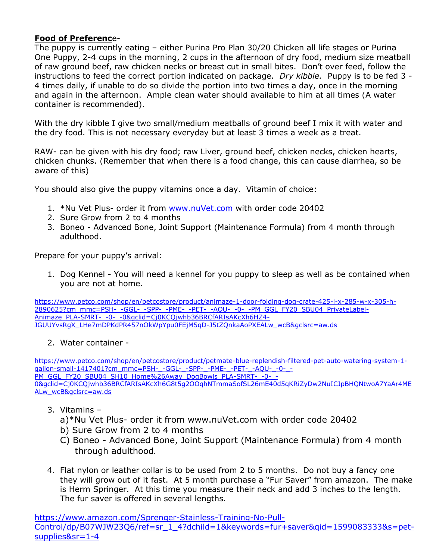# **Food of Preferenc**e-

The puppy is currently eating – either Purina Pro Plan 30/20 Chicken all life stages or Purina One Puppy, 2-4 cups in the morning, 2 cups in the afternoon of dry food, medium size meatball of raw ground beef, raw chicken necks or breast cut in small bites. Don't over feed, follow the instructions to feed the correct portion indicated on package. *Dry kibble.* Puppy is to be fed 3 - 4 times daily, if unable to do so divide the portion into two times a day, once in the morning and again in the afternoon. Ample clean water should available to him at all times (A water container is recommended).

With the dry kibble I give two small/medium meatballs of ground beef I mix it with water and the dry food. This is not necessary everyday but at least 3 times a week as a treat.

RAW- can be given with his dry food; raw Liver, ground beef, chicken necks, chicken hearts, chicken chunks. (Remember that when there is a food change, this can cause diarrhea, so be aware of this)

You should also give the puppy vitamins once a day. Vitamin of choice:

- 1. \*Nu Vet Plus- order it from [www.nuVet.com](http://www.nuvet.com/) with order code 20402
- 2. Sure Grow from 2 to 4 months
- 3. Boneo Advanced Bone, Joint Support (Maintenance Formula) from 4 month through adulthood.

Prepare for your puppy's arrival:

1. Dog Kennel - You will need a kennel for you puppy to sleep as well as be contained when you are not at home.

[https://www.petco.com/shop/en/petcostore/product/animaze-1-door-folding-dog-crate-425-l-x-285-w-x-305-h-](https://www.petco.com/shop/en/petcostore/product/animaze-1-door-folding-dog-crate-425-l-x-285-w-x-305-h-2890625?cm_mmc=PSH-_-GGL-_-SPP-_-PME-_-PET-_-AQU-_-0-_-PM_GGL_FY20_SBU04_PrivateLabel-Animaze_PLA-SMRT-_-0-_-0&gclid=Cj0KCQjwhb36BRCfARIsAKcXh6HZ4-JGUUYvsRgX_LHe7mDPKdPR457nOkWpYpu0FEjM5qD-J5tZQnkaAoPXEALw_wcB&gclsrc=aw.ds)[2890625?cm\\_mmc=PSH-\\_-GGL-\\_-SPP-\\_-PME-\\_-PET-\\_-AQU-\\_-0-\\_-PM\\_GGL\\_FY20\\_SBU04\\_PrivateLabel-](https://www.petco.com/shop/en/petcostore/product/animaze-1-door-folding-dog-crate-425-l-x-285-w-x-305-h-2890625?cm_mmc=PSH-_-GGL-_-SPP-_-PME-_-PET-_-AQU-_-0-_-PM_GGL_FY20_SBU04_PrivateLabel-Animaze_PLA-SMRT-_-0-_-0&gclid=Cj0KCQjwhb36BRCfARIsAKcXh6HZ4-JGUUYvsRgX_LHe7mDPKdPR457nOkWpYpu0FEjM5qD-J5tZQnkaAoPXEALw_wcB&gclsrc=aw.ds)[Animaze\\_PLA-SMRT-\\_-0-\\_-0&gclid=Cj0KCQjwhb36BRCfARIsAKcXh6HZ4-](https://www.petco.com/shop/en/petcostore/product/animaze-1-door-folding-dog-crate-425-l-x-285-w-x-305-h-2890625?cm_mmc=PSH-_-GGL-_-SPP-_-PME-_-PET-_-AQU-_-0-_-PM_GGL_FY20_SBU04_PrivateLabel-Animaze_PLA-SMRT-_-0-_-0&gclid=Cj0KCQjwhb36BRCfARIsAKcXh6HZ4-JGUUYvsRgX_LHe7mDPKdPR457nOkWpYpu0FEjM5qD-J5tZQnkaAoPXEALw_wcB&gclsrc=aw.ds) [JGUUYvsRgX\\_LHe7mDPKdPR457nOkWpYpu0FEjM5qD-J5tZQnkaAoPXEALw\\_wcB&gclsrc=aw.ds](https://www.petco.com/shop/en/petcostore/product/animaze-1-door-folding-dog-crate-425-l-x-285-w-x-305-h-2890625?cm_mmc=PSH-_-GGL-_-SPP-_-PME-_-PET-_-AQU-_-0-_-PM_GGL_FY20_SBU04_PrivateLabel-Animaze_PLA-SMRT-_-0-_-0&gclid=Cj0KCQjwhb36BRCfARIsAKcXh6HZ4-JGUUYvsRgX_LHe7mDPKdPR457nOkWpYpu0FEjM5qD-J5tZQnkaAoPXEALw_wcB&gclsrc=aw.ds)

# 2. Water container -

[https://www.petco.com/shop/en/petcostore/product/petmate-blue-replendish-filtered-pet-auto-watering-system-1](https://www.petco.com/shop/en/petcostore/product/petmate-blue-replendish-filtered-pet-auto-watering-system-1-gallon-small-1417401?cm_mmc=PSH-_-GGL-_-SPP-_-PME-_-PET-_-AQU-_-0-_-PM_GGL_FY20_SBU04_SH10_Home%26Away_DogBowls_PLA-SMRT-_-0-_-0&gclid=Cj0KCQjwhb36BRCfARIsAKcXh6G8t5g2OOqhNTmmaSofSL26mE40d5qKRiZyDw2NuICJpBHQNtwoA7YaAr4MEALw_wcB&gclsrc=aw.ds) [gallon-small-1417401?cm\\_mmc=PSH-\\_-GGL-\\_-SPP-\\_-PME-\\_-PET-\\_-AQU-\\_-0-\\_-](https://www.petco.com/shop/en/petcostore/product/petmate-blue-replendish-filtered-pet-auto-watering-system-1-gallon-small-1417401?cm_mmc=PSH-_-GGL-_-SPP-_-PME-_-PET-_-AQU-_-0-_-PM_GGL_FY20_SBU04_SH10_Home%26Away_DogBowls_PLA-SMRT-_-0-_-0&gclid=Cj0KCQjwhb36BRCfARIsAKcXh6G8t5g2OOqhNTmmaSofSL26mE40d5qKRiZyDw2NuICJpBHQNtwoA7YaAr4MEALw_wcB&gclsrc=aw.ds) [PM\\_GGL\\_FY20\\_SBU04\\_SH10\\_Home%26Away\\_DogBowls\\_PLA-SMRT-\\_-0-\\_-](https://www.petco.com/shop/en/petcostore/product/petmate-blue-replendish-filtered-pet-auto-watering-system-1-gallon-small-1417401?cm_mmc=PSH-_-GGL-_-SPP-_-PME-_-PET-_-AQU-_-0-_-PM_GGL_FY20_SBU04_SH10_Home%26Away_DogBowls_PLA-SMRT-_-0-_-0&gclid=Cj0KCQjwhb36BRCfARIsAKcXh6G8t5g2OOqhNTmmaSofSL26mE40d5qKRiZyDw2NuICJpBHQNtwoA7YaAr4MEALw_wcB&gclsrc=aw.ds) [0&gclid=Cj0KCQjwhb36BRCfARIsAKcXh6G8t5g2OOqhNTmmaSofSL26mE40d5qKRiZyDw2NuICJpBHQNtwoA7YaAr4ME](https://www.petco.com/shop/en/petcostore/product/petmate-blue-replendish-filtered-pet-auto-watering-system-1-gallon-small-1417401?cm_mmc=PSH-_-GGL-_-SPP-_-PME-_-PET-_-AQU-_-0-_-PM_GGL_FY20_SBU04_SH10_Home%26Away_DogBowls_PLA-SMRT-_-0-_-0&gclid=Cj0KCQjwhb36BRCfARIsAKcXh6G8t5g2OOqhNTmmaSofSL26mE40d5qKRiZyDw2NuICJpBHQNtwoA7YaAr4MEALw_wcB&gclsrc=aw.ds) [ALw\\_wcB&gclsrc=aw.ds](https://www.petco.com/shop/en/petcostore/product/petmate-blue-replendish-filtered-pet-auto-watering-system-1-gallon-small-1417401?cm_mmc=PSH-_-GGL-_-SPP-_-PME-_-PET-_-AQU-_-0-_-PM_GGL_FY20_SBU04_SH10_Home%26Away_DogBowls_PLA-SMRT-_-0-_-0&gclid=Cj0KCQjwhb36BRCfARIsAKcXh6G8t5g2OOqhNTmmaSofSL26mE40d5qKRiZyDw2NuICJpBHQNtwoA7YaAr4MEALw_wcB&gclsrc=aw.ds)

- 3. Vitamins
	- a)\*Nu Vet Plus- order it from [www.nuVet.com](http://www.nuvet.com/) with order code 20402
	- b) Sure Grow from 2 to 4 months
	- C) Boneo Advanced Bone, Joint Support (Maintenance Formula) from 4 month through adulthood.
- 4. Flat nylon or leather collar is to be used from 2 to 5 months. Do not buy a fancy one they will grow out of it fast. At 5 month purchase a "Fur Saver" from amazon. The make is Herm Springer. At this time you measure their neck and add 3 inches to the length. The fur saver is offered in several lengths.